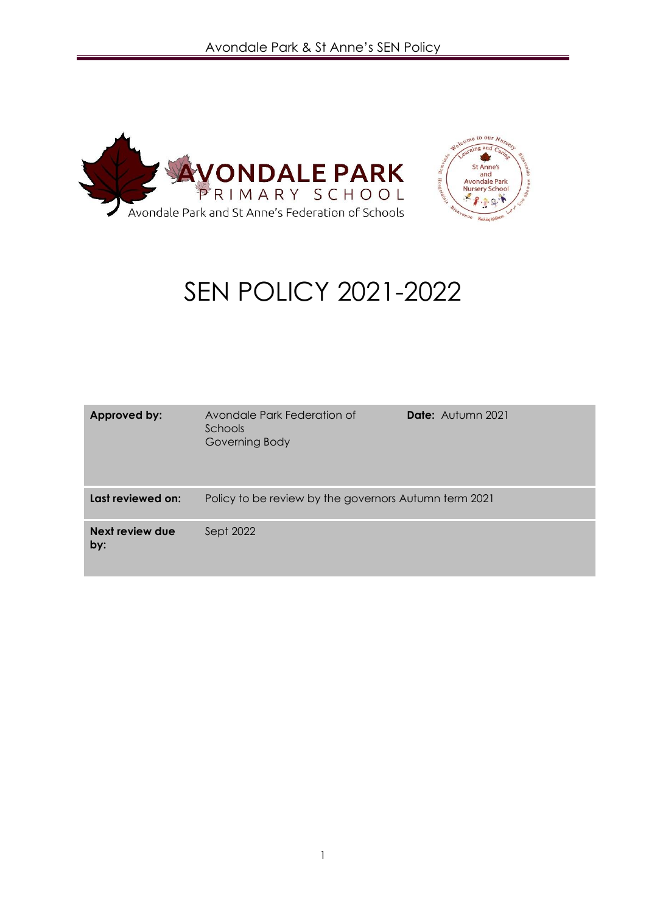



# SEN POLICY 2021-2022

| Approved by:           | Avondale Park Federation of<br>Schools<br>Governing Body | <b>Date:</b> Autumn 2021 |
|------------------------|----------------------------------------------------------|--------------------------|
| Last reviewed on:      | Policy to be review by the governors Autumn term 2021    |                          |
| Next review due<br>by: | Sept 2022                                                |                          |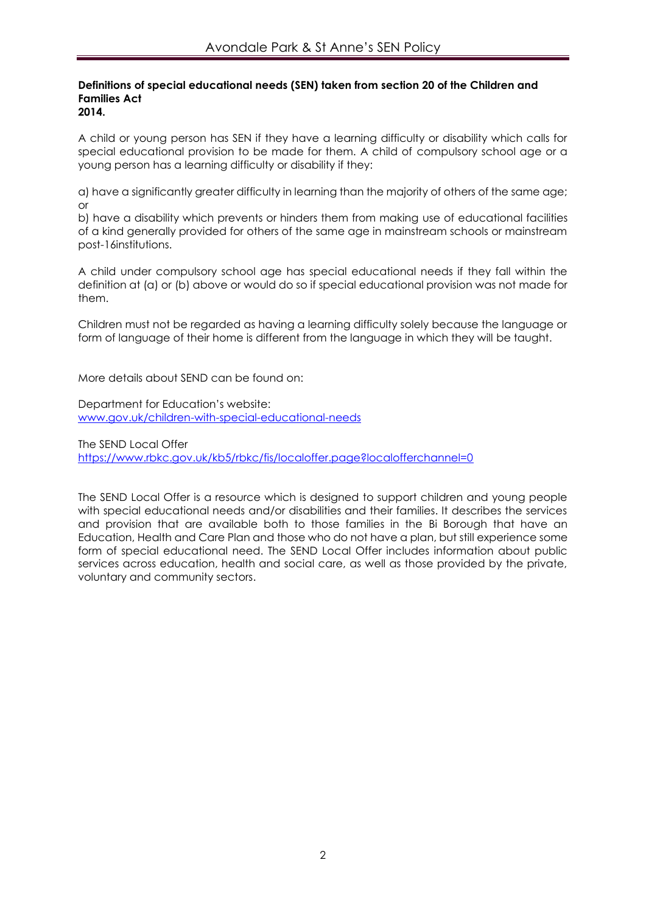#### **Definitions of special educational needs (SEN) taken from section 20 of the Children and Families Act 2014.**

A child or young person has SEN if they have a learning difficulty or disability which calls for special educational provision to be made for them. A child of compulsory school age or a young person has a learning difficulty or disability if they:

a) have a significantly greater difficulty in learning than the majority of others of the same age; or

b) have a disability which prevents or hinders them from making use of educational facilities of a kind generally provided for others of the same age in mainstream schools or mainstream post-16institutions.

A child under compulsory school age has special educational needs if they fall within the definition at (a) or (b) above or would do so if special educational provision was not made for them.

Children must not be regarded as having a learning difficulty solely because the language or form of language of their home is different from the language in which they will be taught.

More details about SEND can be found on:

Department for Education's website: [www.gov.uk/children-with-special-educational-needs](http://www.gov.uk/children-with-special-educational-needs)

The SEND Local Offer <https://www.rbkc.gov.uk/kb5/rbkc/fis/localoffer.page?localofferchannel=0>

The SEND Local Offer is a resource which is designed to support children and young people with special educational needs and/or disabilities and their families. It describes the services and provision that are available both to those families in the Bi Borough that have an Education, Health and Care Plan and those who do not have a plan, but still experience some form of special educational need. The SEND Local Offer includes information about public services across education, health and social care, as well as those provided by the private, voluntary and community sectors.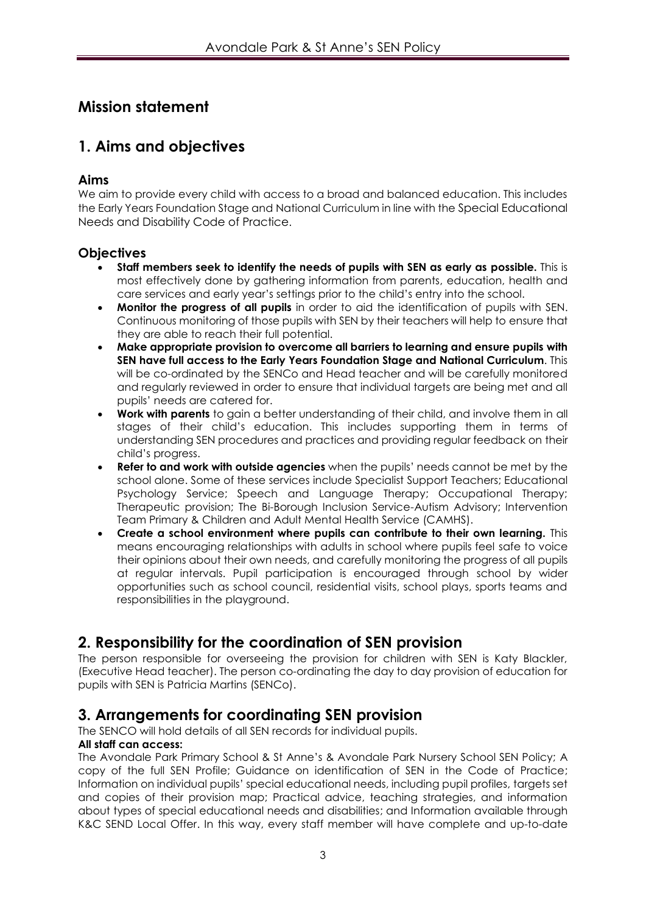# **Mission statement**

# **1. Aims and objectives**

## **Aims**

We aim to provide every child with access to a broad and balanced education. This includes the Early Years Foundation Stage and National Curriculum in line with the Special Educational Needs and Disability Code of Practice.

## **Objectives**

- **Staff members seek to identify the needs of pupils with SEN as early as possible.** This is most effectively done by gathering information from parents, education, health and care services and early year's settings prior to the child's entry into the school.
- **Monitor the progress of all pupils** in order to aid the identification of pupils with SEN. Continuous monitoring of those pupils with SEN by their teachers will help to ensure that they are able to reach their full potential.
- **Make appropriate provision to overcome all barriers to learning and ensure pupils with SEN have full access to the Early Years Foundation Stage and National Curriculum**. This will be co-ordinated by the SENCo and Head teacher and will be carefully monitored and regularly reviewed in order to ensure that individual targets are being met and all pupils' needs are catered for.
- **Work with parents** to gain a better understanding of their child, and involve them in all stages of their child's education. This includes supporting them in terms of understanding SEN procedures and practices and providing regular feedback on their child's progress.
- **Refer to and work with outside agencies** when the pupils' needs cannot be met by the school alone. Some of these services include Specialist Support Teachers; Educational Psychology Service; Speech and Language Therapy; Occupational Therapy; Therapeutic provision; The Bi-Borough Inclusion Service-Autism Advisory; Intervention Team Primary & Children and Adult Mental Health Service (CAMHS).
- **Create a school environment where pupils can contribute to their own learning.** This means encouraging relationships with adults in school where pupils feel safe to voice their opinions about their own needs, and carefully monitoring the progress of all pupils at regular intervals. Pupil participation is encouraged through school by wider opportunities such as school council, residential visits, school plays, sports teams and responsibilities in the playground.

# **2. Responsibility for the coordination of SEN provision**

The person responsible for overseeing the provision for children with SEN is Katy Blackler, (Executive Head teacher). The person co-ordinating the day to day provision of education for pupils with SEN is Patricia Martins (SENCo).

# **3. Arrangements for coordinating SEN provision**

The SENCO will hold details of all SEN records for individual pupils.

#### **All staff can access:**

The Avondale Park Primary School & St Anne's & Avondale Park Nursery School SEN Policy; A copy of the full SEN Profile; Guidance on identification of SEN in the Code of Practice; Information on individual pupils' special educational needs, including pupil profiles, targets set and copies of their provision map; Practical advice, teaching strategies, and information about types of special educational needs and disabilities; and Information available through K&C SEND Local Offer. In this way, every staff member will have complete and up-to-date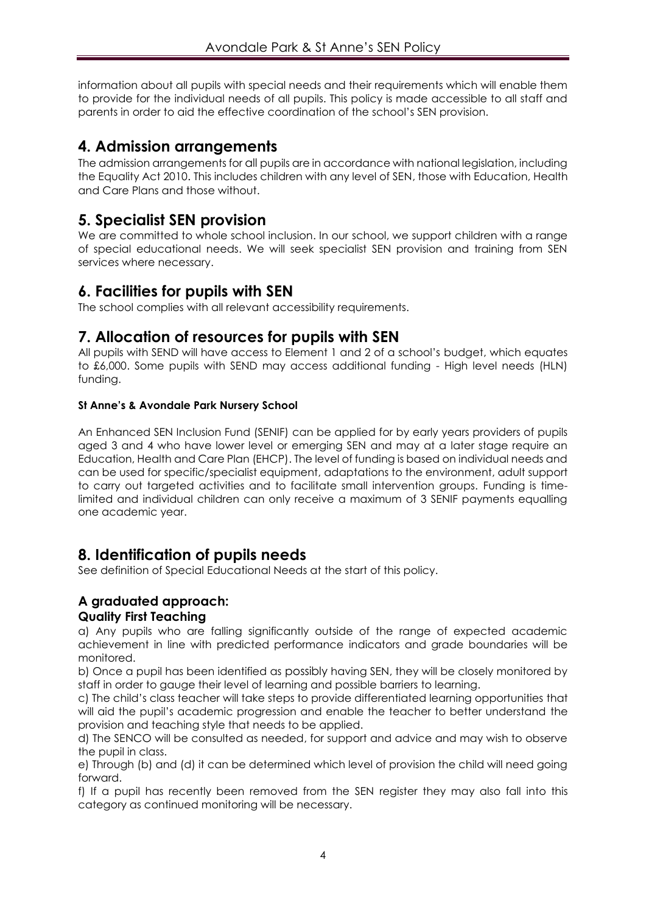information about all pupils with special needs and their requirements which will enable them to provide for the individual needs of all pupils. This policy is made accessible to all staff and parents in order to aid the effective coordination of the school's SEN provision.

# **4. Admission arrangements**

The admission arrangements for all pupils are in accordance with national legislation, including the Equality Act 2010. This includes children with any level of SEN, those with Education, Health and Care Plans and those without.

# **5. Specialist SEN provision**

We are committed to whole school inclusion. In our school, we support children with a range of special educational needs. We will seek specialist SEN provision and training from SEN services where necessary.

## **6. Facilities for pupils with SEN**

The school complies with all relevant accessibility requirements.

## **7. Allocation of resources for pupils with SEN**

All pupils with SEND will have access to Element 1 and 2 of a school's budget, which equates to £6,000. Some pupils with SEND may access additional funding - High level needs (HLN) funding.

#### **St Anne's & Avondale Park Nursery School**

An Enhanced SEN Inclusion Fund (SENIF) can be applied for by early years providers of pupils aged 3 and 4 who have lower level or emerging SEN and may at a later stage require an Education, Health and Care Plan (EHCP). The level of funding is based on individual needs and can be used for specific/specialist equipment, adaptations to the environment, adult support to carry out targeted activities and to facilitate small intervention groups. Funding is timelimited and individual children can only receive a maximum of 3 SENIF payments equalling one academic year.

## **8. Identification of pupils needs**

See definition of Special Educational Needs at the start of this policy.

## **A graduated approach:**

### **Quality First Teaching**

a) Any pupils who are falling significantly outside of the range of expected academic achievement in line with predicted performance indicators and grade boundaries will be monitored.

b) Once a pupil has been identified as possibly having SEN, they will be closely monitored by staff in order to gauge their level of learning and possible barriers to learning.

c) The child's class teacher will take steps to provide differentiated learning opportunities that will aid the pupil's academic progression and enable the teacher to better understand the provision and teaching style that needs to be applied.

d) The SENCO will be consulted as needed, for support and advice and may wish to observe the pupil in class.

e) Through (b) and (d) it can be determined which level of provision the child will need going forward.

f) If a pupil has recently been removed from the SEN register they may also fall into this category as continued monitoring will be necessary.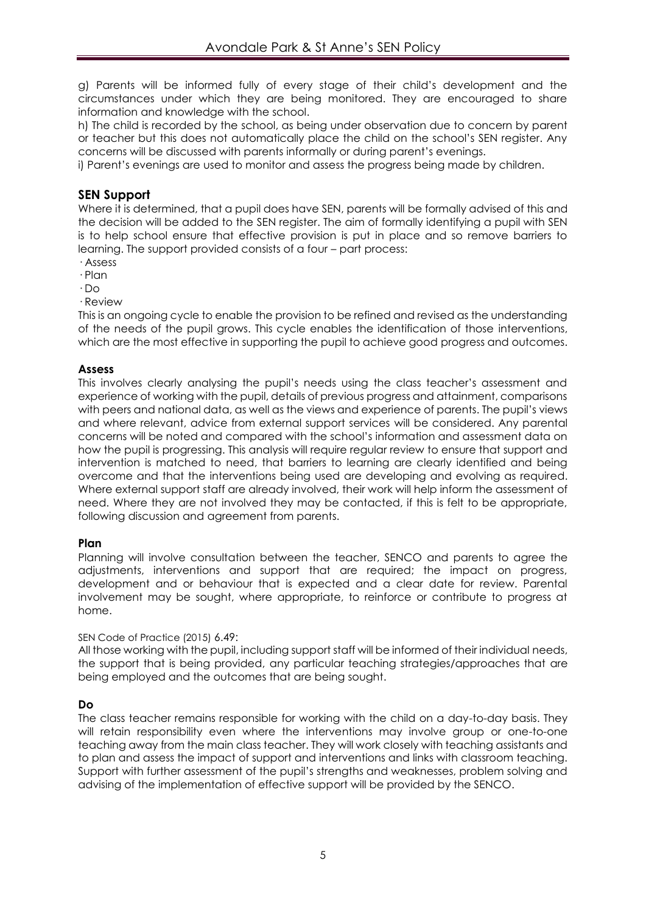g) Parents will be informed fully of every stage of their child's development and the circumstances under which they are being monitored. They are encouraged to share information and knowledge with the school.

h) The child is recorded by the school, as being under observation due to concern by parent or teacher but this does not automatically place the child on the school's SEN register. Any concerns will be discussed with parents informally or during parent's evenings.

i) Parent's evenings are used to monitor and assess the progress being made by children.

#### **SEN Support**

Where it is determined, that a pupil does have SEN, parents will be formally advised of this and the decision will be added to the SEN register. The aim of formally identifying a pupil with SEN is to help school ensure that effective provision is put in place and so remove barriers to learning. The support provided consists of a four – part process:

- · Assess
- · Plan
- · Do
- · Review

This is an ongoing cycle to enable the provision to be refined and revised as the understanding of the needs of the pupil grows. This cycle enables the identification of those interventions, which are the most effective in supporting the pupil to achieve good progress and outcomes.

#### **Assess**

This involves clearly analysing the pupil's needs using the class teacher's assessment and experience of working with the pupil, details of previous progress and attainment, comparisons with peers and national data, as well as the views and experience of parents. The pupil's views and where relevant, advice from external support services will be considered. Any parental concerns will be noted and compared with the school's information and assessment data on how the pupil is progressing. This analysis will require regular review to ensure that support and intervention is matched to need, that barriers to learning are clearly identified and being overcome and that the interventions being used are developing and evolving as required. Where external support staff are already involved, their work will help inform the assessment of need. Where they are not involved they may be contacted, if this is felt to be appropriate, following discussion and agreement from parents.

#### **Plan**

Planning will involve consultation between the teacher, SENCO and parents to agree the adjustments, interventions and support that are required; the impact on progress, development and or behaviour that is expected and a clear date for review. Parental involvement may be sought, where appropriate, to reinforce or contribute to progress at home.

#### SEN Code of Practice (2015) 6.49:

All those working with the pupil, including support staff will be informed of their individual needs, the support that is being provided, any particular teaching strategies/approaches that are being employed and the outcomes that are being sought.

#### **Do**

The class teacher remains responsible for working with the child on a day-to-day basis. They will retain responsibility even where the interventions may involve group or one-to-one teaching away from the main class teacher. They will work closely with teaching assistants and to plan and assess the impact of support and interventions and links with classroom teaching. Support with further assessment of the pupil's strengths and weaknesses, problem solving and advising of the implementation of effective support will be provided by the SENCO.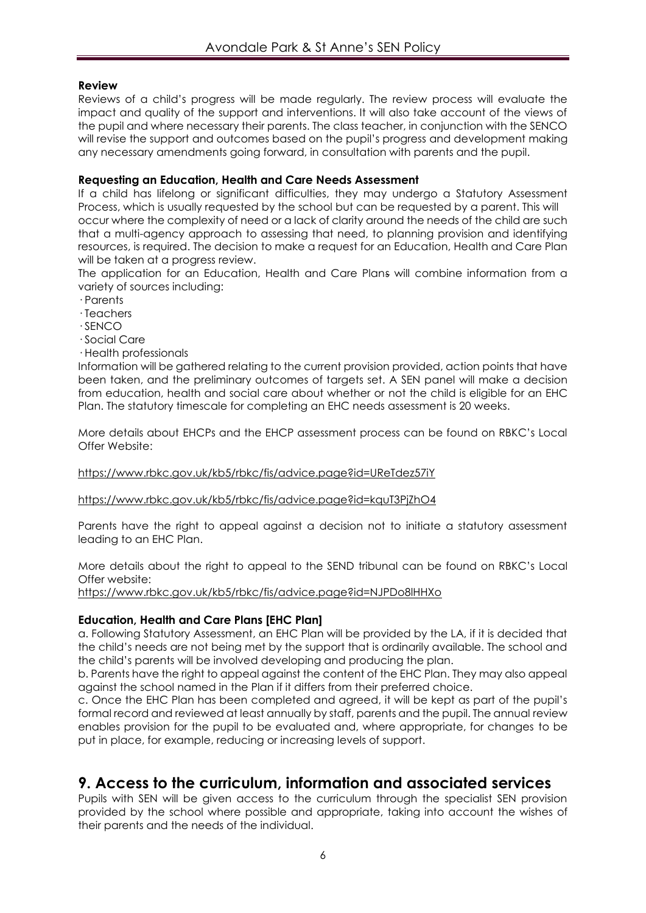#### **Review**

Reviews of a child's progress will be made regularly. The review process will evaluate the impact and quality of the support and interventions. It will also take account of the views of the pupil and where necessary their parents. The class teacher, in conjunction with the SENCO will revise the support and outcomes based on the pupil's progress and development making any necessary amendments going forward, in consultation with parents and the pupil.

#### **Requesting an Education, Health and Care Needs Assessment**

If a child has lifelong or significant difficulties, they may undergo a Statutory Assessment Process, which is usually requested by the school but can be requested by a parent. This will occur where the complexity of need or a lack of clarity around the needs of the child are such that a multi-agency approach to assessing that need, to planning provision and identifying resources, is required. The decision to make a request for an Education, Health and Care Plan will be taken at a progress review.

The application for an Education, Health and Care Plans will combine information from a variety of sources including:

- · Parents
- · Teachers
- · SENCO
- · Social Care
- · Health professionals

Information will be gathered relating to the current provision provided, action points that have been taken, and the preliminary outcomes of targets set. A SEN panel will make a decision from education, health and social care about whether or not the child is eligible for an EHC Plan. The statutory timescale for completing an EHC needs assessment is 20 weeks.

More details about EHCPs and the EHCP assessment process can be found on RBKC's Local Offer Website:

<https://www.rbkc.gov.uk/kb5/rbkc/fis/advice.page?id=UReTdez57iY>

<https://www.rbkc.gov.uk/kb5/rbkc/fis/advice.page?id=kquT3PjZhO4>

Parents have the right to appeal against a decision not to initiate a statutory assessment leading to an EHC Plan.

More details about the right to appeal to the SEND tribunal can be found on RBKC's Local Offer website:

<https://www.rbkc.gov.uk/kb5/rbkc/fis/advice.page?id=NJPDo8lHHXo>

#### **Education, Health and Care Plans [EHC Plan]**

a. Following Statutory Assessment, an EHC Plan will be provided by the LA, if it is decided that the child's needs are not being met by the support that is ordinarily available. The school and the child's parents will be involved developing and producing the plan.

b. Parents have the right to appeal against the content of the EHC Plan. They may also appeal against the school named in the Plan if it differs from their preferred choice.

c. Once the EHC Plan has been completed and agreed, it will be kept as part of the pupil's formal record and reviewed at least annually by staff, parents and the pupil. The annual review enables provision for the pupil to be evaluated and, where appropriate, for changes to be put in place, for example, reducing or increasing levels of support.

## **9. Access to the curriculum, information and associated services**

Pupils with SEN will be given access to the curriculum through the specialist SEN provision provided by the school where possible and appropriate, taking into account the wishes of their parents and the needs of the individual.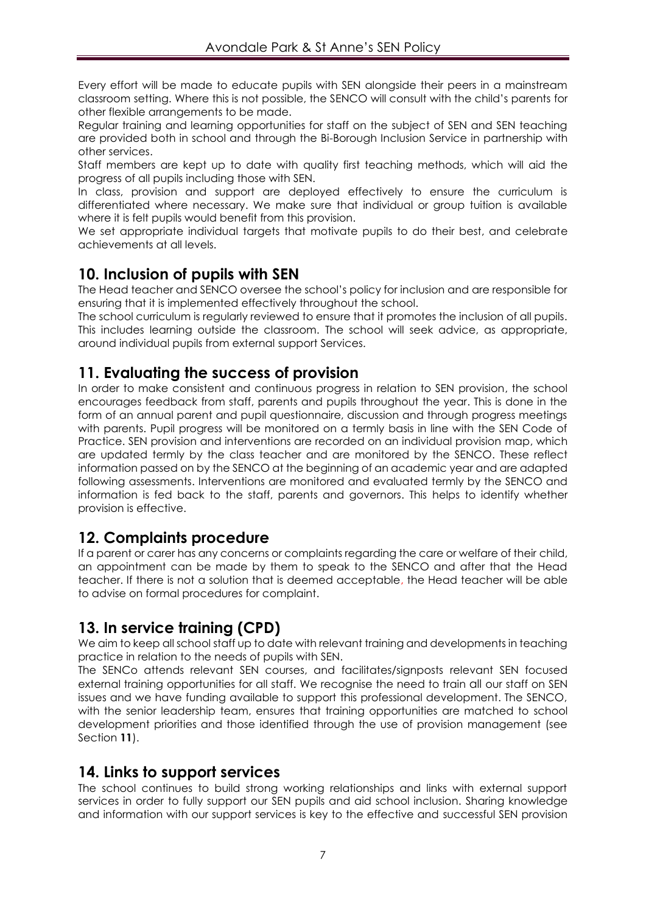Every effort will be made to educate pupils with SEN alongside their peers in a mainstream classroom setting. Where this is not possible, the SENCO will consult with the child's parents for other flexible arrangements to be made.

Regular training and learning opportunities for staff on the subject of SEN and SEN teaching are provided both in school and through the Bi-Borough Inclusion Service in partnership with other services.

Staff members are kept up to date with quality first teaching methods, which will aid the progress of all pupils including those with SEN.

In class, provision and support are deployed effectively to ensure the curriculum is differentiated where necessary. We make sure that individual or group tuition is available where it is felt pupils would benefit from this provision.

We set appropriate individual targets that motivate pupils to do their best, and celebrate achievements at all levels.

## **10. Inclusion of pupils with SEN**

The Head teacher and SENCO oversee the school's policy for inclusion and are responsible for ensuring that it is implemented effectively throughout the school.

The school curriculum is regularly reviewed to ensure that it promotes the inclusion of all pupils. This includes learning outside the classroom. The school will seek advice, as appropriate, around individual pupils from external support Services.

# **11. Evaluating the success of provision**

In order to make consistent and continuous progress in relation to SEN provision, the school encourages feedback from staff, parents and pupils throughout the year. This is done in the form of an annual parent and pupil questionnaire, discussion and through progress meetings with parents. Pupil progress will be monitored on a termly basis in line with the SEN Code of Practice. SEN provision and interventions are recorded on an individual provision map, which are updated termly by the class teacher and are monitored by the SENCO. These reflect information passed on by the SENCO at the beginning of an academic year and are adapted following assessments. Interventions are monitored and evaluated termly by the SENCO and information is fed back to the staff, parents and governors. This helps to identify whether provision is effective.

## **12. Complaints procedure**

If a parent or carer has any concerns or complaints regarding the care or welfare of their child, an appointment can be made by them to speak to the SENCO and after that the Head teacher. If there is not a solution that is deemed acceptable, the Head teacher will be able to advise on formal procedures for complaint.

# **13. In service training (CPD)**

We aim to keep all school staff up to date with relevant training and developments in teaching practice in relation to the needs of pupils with SEN.

The SENCo attends relevant SEN courses, and facilitates/signposts relevant SEN focused external training opportunities for all staff. We recognise the need to train all our staff on SEN issues and we have funding available to support this professional development. The SENCO, with the senior leadership team, ensures that training opportunities are matched to school development priorities and those identified through the use of provision management (see Section **11**).

## **14. Links to support services**

The school continues to build strong working relationships and links with external support services in order to fully support our SEN pupils and aid school inclusion. Sharing knowledge and information with our support services is key to the effective and successful SEN provision